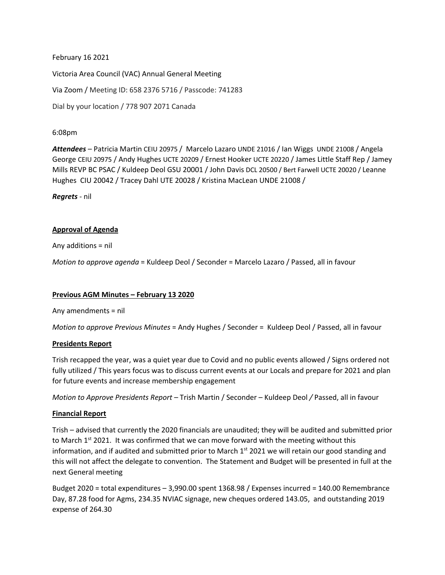February 16 2021 Victoria Area Council (VAC) Annual General Meeting Via Zoom / Meeting ID: 658 2376 5716 / Passcode: 741283 Dial by your location / 778 907 2071 Canada

## 6:08pm

*Attendees* – Patricia Martin CEIU 20975 / Marcelo Lazaro UNDE 21016 / Ian Wiggs UNDE 21008 / Angela George CEIU 20975 / Andy Hughes UCTE 20209 / Ernest Hooker UCTE 20220 / James Little Staff Rep / Jamey Mills REVP BC PSAC / Kuldeep Deol GSU 20001 / John Davis DCL 20500 / Bert Farwell UCTE 20020 / Leanne Hughes CIU 20042 / Tracey Dahl UTE 20028 / Kristina MacLean UNDE 21008 /

*Regrets* - nil

# **Approval of Agenda**

Any additions = nil

*Motion to approve agenda* = Kuldeep Deol / Seconder = Marcelo Lazaro / Passed, all in favour

#### **Previous AGM Minutes – February 13 2020**

Any amendments = nil

*Motion to approve Previous Minutes* = Andy Hughes / Seconder = Kuldeep Deol / Passed, all in favour

#### **Presidents Report**

Trish recapped the year, was a quiet year due to Covid and no public events allowed / Signs ordered not fully utilized / This years focus was to discuss current events at our Locals and prepare for 2021 and plan for future events and increase membership engagement

*Motion to Approve Presidents Report –* Trish Martin / Seconder – Kuldeep Deol */* Passed, all in favour

#### **Financial Report**

Trish – advised that currently the 2020 financials are unaudited; they will be audited and submitted prior to March  $1^{st}$  2021. It was confirmed that we can move forward with the meeting without this information, and if audited and submitted prior to March  $1<sup>st</sup>$  2021 we will retain our good standing and this will not affect the delegate to convention. The Statement and Budget will be presented in full at the next General meeting

Budget 2020 = total expenditures – 3,990.00 spent 1368.98 / Expenses incurred = 140.00 Remembrance Day, 87.28 food for Agms, 234.35 NVIAC signage, new cheques ordered 143.05, and outstanding 2019 expense of 264.30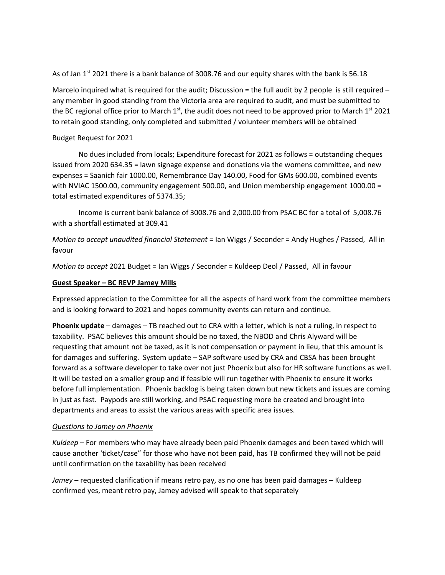As of Jan  $1^{st}$  2021 there is a bank balance of 3008.76 and our equity shares with the bank is 56.18

Marcelo inquired what is required for the audit; Discussion  $=$  the full audit by 2 people is still required  $$ any member in good standing from the Victoria area are required to audit, and must be submitted to the BC regional office prior to March  $1^{st}$ , the audit does not need to be approved prior to March  $1^{st}$  2021 to retain good standing, only completed and submitted / volunteer members will be obtained

## Budget Request for 2021

No dues included from locals; Expenditure forecast for 2021 as follows = outstanding cheques issued from 2020 634.35 = lawn signage expense and donations via the womens committee, and new expenses = Saanich fair 1000.00, Remembrance Day 140.00, Food for GMs 600.00, combined events with NVIAC 1500.00, community engagement 500.00, and Union membership engagement 1000.00 = total estimated expenditures of 5374.35;

Income is current bank balance of 3008.76 and 2,000.00 from PSAC BC for a total of 5,008.76 with a shortfall estimated at 309.41

*Motion to accept unaudited financial Statement* = Ian Wiggs / Seconder = Andy Hughes / Passed, All in favour

*Motion to accept* 2021 Budget = Ian Wiggs / Seconder = Kuldeep Deol / Passed, All in favour

# **Guest Speaker – BC REVP Jamey Mills**

Expressed appreciation to the Committee for all the aspects of hard work from the committee members and is looking forward to 2021 and hopes community events can return and continue.

**Phoenix update** – damages – TB reached out to CRA with a letter, which is not a ruling, in respect to taxability. PSAC believes this amount should be no taxed, the NBOD and Chris Alyward will be requesting that amount not be taxed, as it is not compensation or payment in lieu, that this amount is for damages and suffering. System update – SAP software used by CRA and CBSA has been brought forward as a software developer to take over not just Phoenix but also for HR software functions as well. It will be tested on a smaller group and if feasible will run together with Phoenix to ensure it works before full implementation. Phoenix backlog is being taken down but new tickets and issues are coming in just as fast. Paypods are still working, and PSAC requesting more be created and brought into departments and areas to assist the various areas with specific area issues.

#### *Questions to Jamey on Phoenix*

*Kuldeep* – For members who may have already been paid Phoenix damages and been taxed which will cause another 'ticket/case" for those who have not been paid, has TB confirmed they will not be paid until confirmation on the taxability has been received

*Jamey* – requested clarification if means retro pay, as no one has been paid damages – Kuldeep confirmed yes, meant retro pay, Jamey advised will speak to that separately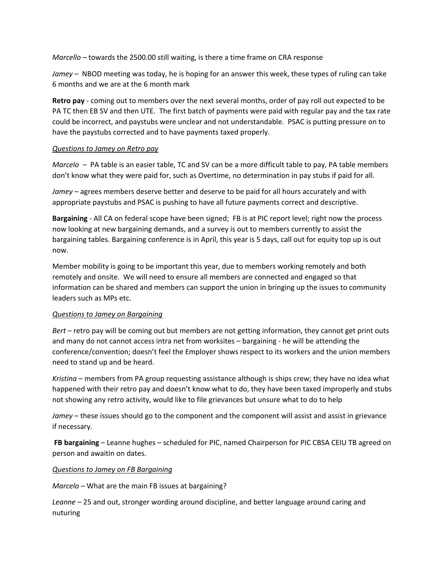*Marcello –* towards the 2500.00 still waiting, is there a time frame on CRA response

*Jamey –* NBOD meeting was today, he is hoping for an answer this week, these types of ruling can take 6 months and we are at the 6 month mark

**Retro pay** - coming out to members over the next several months, order of pay roll out expected to be PA TC then EB SV and then UTE. The first batch of payments were paid with regular pay and the tax rate could be incorrect, and paystubs were unclear and not understandable. PSAC is putting pressure on to have the paystubs corrected and to have payments taxed properly.

#### *Questions to Jamey on Retro pay*

*Marcelo –* PA table is an easier table, TC and SV can be a more difficult table to pay, PA table members don't know what they were paid for, such as Overtime, no determination in pay stubs if paid for all.

*Jamey* – agrees members deserve better and deserve to be paid for all hours accurately and with appropriate paystubs and PSAC is pushing to have all future payments correct and descriptive.

**Bargaining** - All CA on federal scope have been signed; FB is at PIC report level; right now the process now looking at new bargaining demands, and a survey is out to members currently to assist the bargaining tables. Bargaining conference is in April, this year is 5 days, call out for equity top up is out now.

Member mobility is going to be important this year, due to members working remotely and both remotely and onsite. We will need to ensure all members are connected and engaged so that information can be shared and members can support the union in bringing up the issues to community leaders such as MPs etc.

#### *Questions to Jamey on Bargaining*

*Bert –* retro pay will be coming out but members are not getting information, they cannot get print outs and many do not cannot access intra net from worksites – bargaining - he will be attending the conference/convention; doesn't feel the Employer shows respect to its workers and the union members need to stand up and be heard.

*Kristina* – members from PA group requesting assistance although is ships crew; they have no idea what happened with their retro pay and doesn't know what to do, they have been taxed improperly and stubs not showing any retro activity, would like to file grievances but unsure what to do to help

*Jamey* – these issues should go to the component and the component will assist and assist in grievance if necessary.

**FB bargaining** – Leanne hughes – scheduled for PIC, named Chairperson for PIC CBSA CEIU TB agreed on person and awaitin on dates.

#### *Questions to Jamey on FB Bargaining*

*Marcelo –* What are the main FB issues at bargaining?

*Leanne –* 25 and out, stronger wording around discipline, and better language around caring and nuturing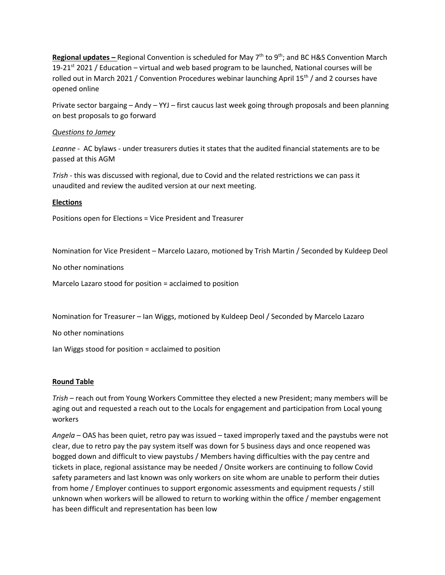**Regional updates –** Regional Convention is scheduled for May 7th to 9th; and BC H&S Convention March 19-21<sup>st</sup> 2021 / Education – virtual and web based program to be launched, National courses will be rolled out in March 2021 / Convention Procedures webinar launching April 15<sup>th</sup> / and 2 courses have opened online

Private sector bargaing – Andy – YYJ – first caucus last week going through proposals and been planning on best proposals to go forward

#### *Questions to Jamey*

*Leanne* - AC bylaws - under treasurers duties it states that the audited financial statements are to be passed at this AGM

*Trish -* this was discussed with regional, due to Covid and the related restrictions we can pass it unaudited and review the audited version at our next meeting.

# **Elections**

Positions open for Elections = Vice President and Treasurer

Nomination for Vice President – Marcelo Lazaro, motioned by Trish Martin / Seconded by Kuldeep Deol

No other nominations

Marcelo Lazaro stood for position = acclaimed to position

Nomination for Treasurer – Ian Wiggs, motioned by Kuldeep Deol / Seconded by Marcelo Lazaro

No other nominations

Ian Wiggs stood for position = acclaimed to position

#### **Round Table**

*Trish* – reach out from Young Workers Committee they elected a new President; many members will be aging out and requested a reach out to the Locals for engagement and participation from Local young workers

*Angela* – OAS has been quiet, retro pay was issued – taxed improperly taxed and the paystubs were not clear, due to retro pay the pay system itself was down for 5 business days and once reopened was bogged down and difficult to view paystubs / Members having difficulties with the pay centre and tickets in place, regional assistance may be needed / Onsite workers are continuing to follow Covid safety parameters and last known was only workers on site whom are unable to perform their duties from home / Employer continues to support ergonomic assessments and equipment requests / still unknown when workers will be allowed to return to working within the office / member engagement has been difficult and representation has been low